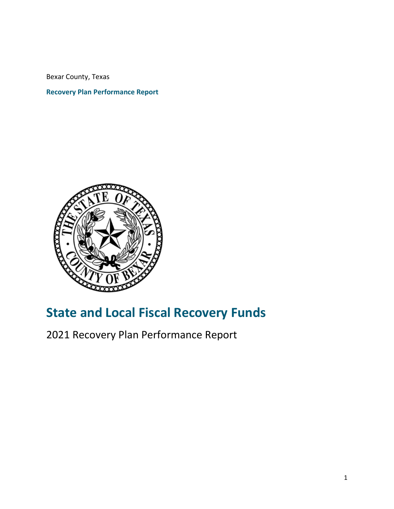Bexar County, Texas

### **Recovery Plan Performance Report**



# **State and Local Fiscal Recovery Funds**

2021 Recovery Plan Performance Report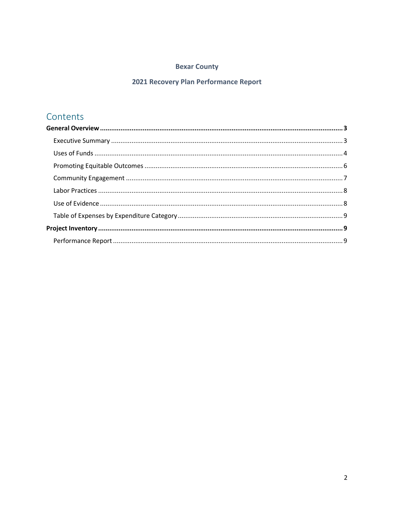#### **Bexar County**

#### 2021 Recovery Plan Performance Report

## Contents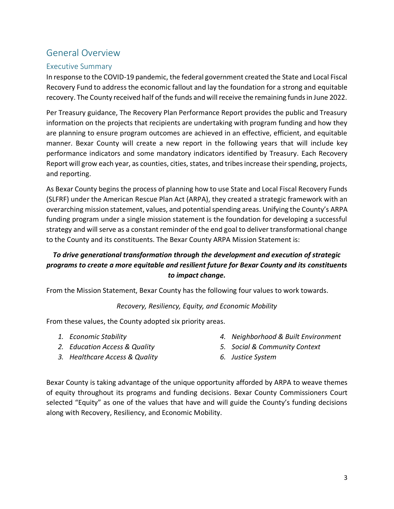## <span id="page-2-0"></span>General Overview

#### <span id="page-2-1"></span>Executive Summary

In response to the COVID-19 pandemic, the federal government created the State and Local Fiscal Recovery Fund to address the economic fallout and lay the foundation for a strong and equitable recovery. The County received half of the funds and will receive the remaining funds in June 2022.

Per Treasury guidance, The Recovery Plan Performance Report provides the public and Treasury information on the projects that recipients are undertaking with program funding and how they are planning to ensure program outcomes are achieved in an effective, efficient, and equitable manner. Bexar County will create a new report in the following years that will include key performance indicators and some mandatory indicators identified by Treasury. Each Recovery Report will grow each year, as counties, cities, states, and tribes increase their spending, projects, and reporting.

As Bexar County begins the process of planning how to use State and Local Fiscal Recovery Funds (SLFRF) under the American Rescue Plan Act (ARPA), they created a strategic framework with an overarching mission statement, values, and potential spending areas. Unifying the County's ARPA funding program under a single mission statement is the foundation for developing a successful strategy and will serve as a constant reminder of the end goal to deliver transformational change to the County and its constituents. The Bexar County ARPA Mission Statement is:

### *To drive generational transformation through the development and execution of strategic programs to create a more equitable and resilient future for Bexar County and its constituents to impact change.*

From the Mission Statement, Bexar County has the following four values to work towards.

#### *Recovery, Resiliency, Equity, and Economic Mobility*

From these values, the County adopted six priority areas.

- *1. Economic Stability*
- *2. Education Access & Quality 3. Healthcare Access & Quality*
- *4. Neighborhood & Built Environment*
- *5. Social & Community Context*
- *6. Justice System*

Bexar County is taking advantage of the unique opportunity afforded by ARPA to weave themes of equity throughout its programs and funding decisions. Bexar County Commissioners Court selected "Equity" as one of the values that have and will guide the County's funding decisions along with Recovery, Resiliency, and Economic Mobility.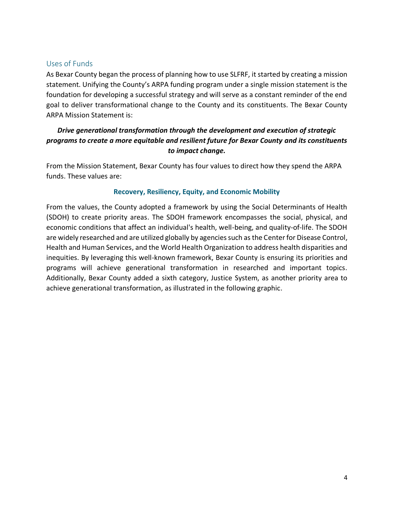#### <span id="page-3-0"></span>Uses of Funds

As Bexar County began the process of planning how to use SLFRF, it started by creating a mission statement. Unifying the County's ARPA funding program under a single mission statement is the foundation for developing a successful strategy and will serve as a constant reminder of the end goal to deliver transformational change to the County and its constituents. The Bexar County ARPA Mission Statement is:

#### *Drive generational transformation through the development and execution of strategic programs to create a more equitable and resilient future for Bexar County and its constituents to impact change.*

From the Mission Statement, Bexar County has four values to direct how they spend the ARPA funds. These values are:

#### **Recovery, Resiliency, Equity, and Economic Mobility**

From the values, the County adopted a framework by using the Social Determinants of Health (SDOH) to create priority areas. The SDOH framework encompasses the social, physical, and economic conditions that affect an individual's health, well-being, and quality-of-life. The SDOH are widely researched and are utilized globally by agencies such as the Center for Disease Control, Health and Human Services, and the World Health Organization to address health disparities and inequities. By leveraging this well-known framework, Bexar County is ensuring its priorities and programs will achieve generational transformation in researched and important topics. Additionally, Bexar County added a sixth category, Justice System, as another priority area to achieve generational transformation, as illustrated in the following graphic.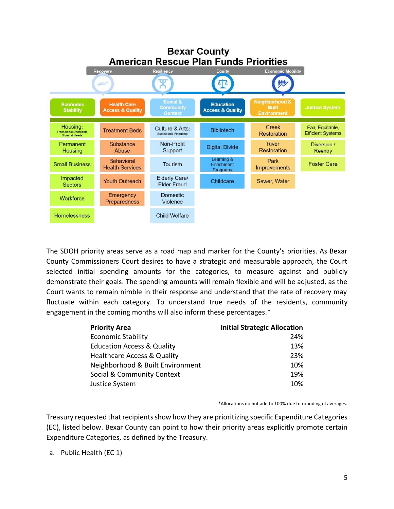

The SDOH priority areas serve as a road map and marker for the County's priorities. As Bexar County Commissioners Court desires to have a strategic and measurable approach, the Court selected initial spending amounts for the categories, to measure against and publicly demonstrate their goals. The spending amounts will remain flexible and will be adjusted, as the Court wants to remain nimble in their response and understand that the rate of recovery may fluctuate within each category. To understand true needs of the residents, community engagement in the coming months will also inform these percentages.\*

| <b>Priority Area</b>                   | <b>Initial Strategic Allocation</b> |
|----------------------------------------|-------------------------------------|
| <b>Economic Stability</b>              | 24%                                 |
| <b>Education Access &amp; Quality</b>  | 13%                                 |
| <b>Healthcare Access &amp; Quality</b> | 23%                                 |
| Neighborhood & Built Environment       | 10%                                 |
| Social & Community Context             | 19%                                 |
| Justice System                         | 10%                                 |

\*Allocations do not add to 100% due to rounding of averages.

Treasury requested that recipients show how they are prioritizing specific Expenditure Categories (EC), listed below. Bexar County can point to how their priority areas explicitly promote certain Expenditure Categories, as defined by the Treasury.

a. Public Health (EC 1)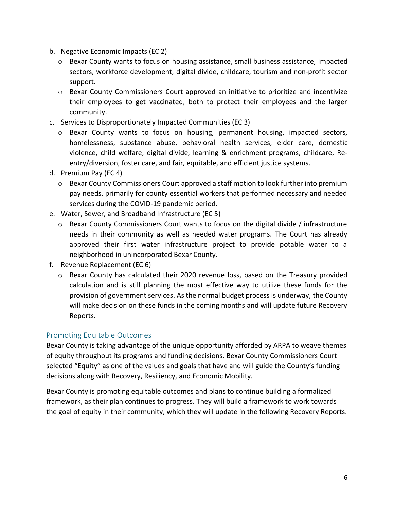- b. Negative Economic Impacts (EC 2)
	- $\circ$  Bexar County wants to focus on housing assistance, small business assistance, impacted sectors, workforce development, digital divide, childcare, tourism and non-profit sector support.
	- o Bexar County Commissioners Court approved an initiative to prioritize and incentivize their employees to get vaccinated, both to protect their employees and the larger community.
- c. Services to Disproportionately Impacted Communities (EC 3)
	- o Bexar County wants to focus on housing, permanent housing, impacted sectors, homelessness, substance abuse, behavioral health services, elder care, domestic violence, child welfare, digital divide, learning & enrichment programs, childcare, Reentry/diversion, foster care, and fair, equitable, and efficient justice systems.
- d. Premium Pay (EC 4)
	- $\circ$  Bexar County Commissioners Court approved a staff motion to look further into premium pay needs, primarily for county essential workers that performed necessary and needed services during the COVID-19 pandemic period.
- e. Water, Sewer, and Broadband Infrastructure (EC 5)
	- $\circ$  Bexar County Commissioners Court wants to focus on the digital divide / infrastructure needs in their community as well as needed water programs. The Court has already approved their first water infrastructure project to provide potable water to a neighborhood in unincorporated Bexar County.
- f. Revenue Replacement (EC 6)
	- $\circ$  Bexar County has calculated their 2020 revenue loss, based on the Treasury provided calculation and is still planning the most effective way to utilize these funds for the provision of government services. As the normal budget process is underway, the County will make decision on these funds in the coming months and will update future Recovery Reports.

#### <span id="page-5-0"></span>Promoting Equitable Outcomes

Bexar County is taking advantage of the unique opportunity afforded by ARPA to weave themes of equity throughout its programs and funding decisions. Bexar County Commissioners Court selected "Equity" as one of the values and goals that have and will guide the County's funding decisions along with Recovery, Resiliency, and Economic Mobility.

Bexar County is promoting equitable outcomes and plans to continue building a formalized framework, as their plan continues to progress. They will build a framework to work towards the goal of equity in their community, which they will update in the following Recovery Reports.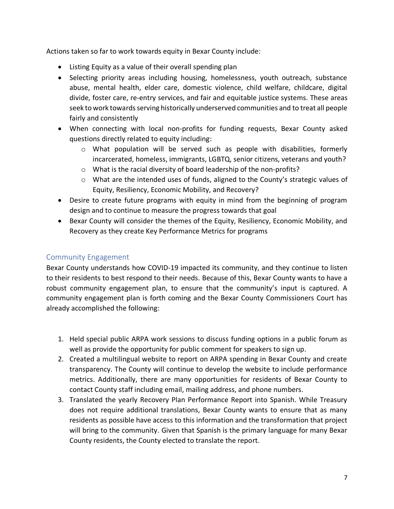Actions taken so far to work towards equity in Bexar County include:

- Listing Equity as a value of their overall spending plan
- Selecting priority areas including housing, homelessness, youth outreach, substance abuse, mental health, elder care, domestic violence, child welfare, childcare, digital divide, foster care, re-entry services, and fair and equitable justice systems. These areas seek to work towards serving historically underserved communities and to treat all people fairly and consistently
- When connecting with local non-profits for funding requests, Bexar County asked questions directly related to equity including:
	- $\circ$  What population will be served such as people with disabilities, formerly incarcerated, homeless, immigrants, LGBTQ, senior citizens, veterans and youth?
	- o What is the racial diversity of board leadership of the non-profits?
	- o What are the intended uses of funds, aligned to the County's strategic values of Equity, Resiliency, Economic Mobility, and Recovery?
- Desire to create future programs with equity in mind from the beginning of program design and to continue to measure the progress towards that goal
- Bexar County will consider the themes of the Equity, Resiliency, Economic Mobility, and Recovery as they create Key Performance Metrics for programs

#### <span id="page-6-0"></span>Community Engagement

Bexar County understands how COVID-19 impacted its community, and they continue to listen to their residents to best respond to their needs. Because of this, Bexar County wants to have a robust community engagement plan, to ensure that the community's input is captured. A community engagement plan is forth coming and the Bexar County Commissioners Court has already accomplished the following:

- 1. Held special public ARPA work sessions to discuss funding options in a public forum as well as provide the opportunity for public comment for speakers to sign up.
- 2. Created a multilingual website to report on ARPA spending in Bexar County and create transparency. The County will continue to develop the website to include performance metrics. Additionally, there are many opportunities for residents of Bexar County to contact County staff including email, mailing address, and phone numbers.
- 3. Translated the yearly Recovery Plan Performance Report into Spanish. While Treasury does not require additional translations, Bexar County wants to ensure that as many residents as possible have access to this information and the transformation that project will bring to the community. Given that Spanish is the primary language for many Bexar County residents, the County elected to translate the report.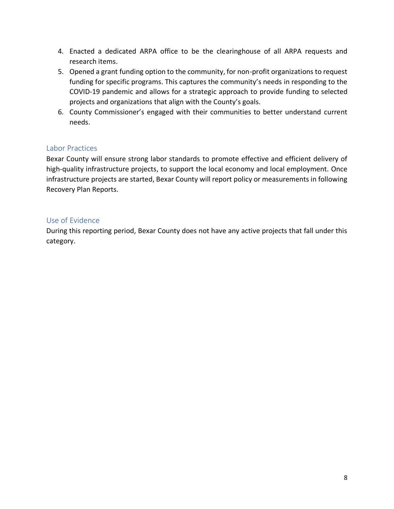- 4. Enacted a dedicated ARPA office to be the clearinghouse of all ARPA requests and research items.
- 5. Opened a grant funding option to the community, for non-profit organizations to request funding for specific programs. This captures the community's needs in responding to the COVID-19 pandemic and allows for a strategic approach to provide funding to selected projects and organizations that align with the County's goals.
- 6. County Commissioner's engaged with their communities to better understand current needs.

#### <span id="page-7-0"></span>Labor Practices

Bexar County will ensure strong labor standards to promote effective and efficient delivery of high-quality infrastructure projects, to support the local economy and local employment. Once infrastructure projects are started, Bexar County will report policy or measurements in following Recovery Plan Reports.

#### <span id="page-7-1"></span>Use of Evidence

During this reporting period, Bexar County does not have any active projects that fall under this category.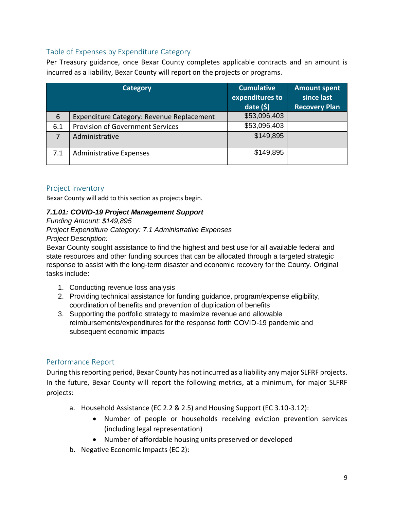### <span id="page-8-0"></span>Table of Expenses by Expenditure Category

Per Treasury guidance, once Bexar County completes applicable contracts and an amount is incurred as a liability, Bexar County will report on the projects or programs.

|     | <b>Category</b>                           | <b>Cumulative</b><br>expenditures to<br>date $(5)$ | <b>Amount spent</b><br>since last<br><b>Recovery Plan</b> |
|-----|-------------------------------------------|----------------------------------------------------|-----------------------------------------------------------|
| 6   | Expenditure Category: Revenue Replacement | \$53,096,403                                       |                                                           |
| 6.1 | <b>Provision of Government Services</b>   | \$53,096,403                                       |                                                           |
| 7   | Administrative                            | \$149,895                                          |                                                           |
| 7.1 | <b>Administrative Expenses</b>            | \$149,895                                          |                                                           |

#### <span id="page-8-1"></span>Project Inventory

Bexar County will add to this section as projects begin.

#### *7.1.01: COVID-19 Project Management Support*

*Funding Amount: \$149,895 Project Expenditure Category: 7.1 Administrative Expenses Project Description:* 

Bexar County sought assistance to find the highest and best use for all available federal and state resources and other funding sources that can be allocated through a targeted strategic response to assist with the long-term disaster and economic recovery for the County. Original tasks include:

- 1. Conducting revenue loss analysis
- 2. Providing technical assistance for funding guidance, program/expense eligibility, coordination of benefits and prevention of duplication of benefits
- 3. Supporting the portfolio strategy to maximize revenue and allowable reimbursements/expenditures for the response forth COVID-19 pandemic and subsequent economic impacts

#### <span id="page-8-2"></span>Performance Report

During this reporting period, Bexar County has not incurred as a liability any major SLFRF projects. In the future, Bexar County will report the following metrics, at a minimum, for major SLFRF projects:

- a. Household Assistance (EC 2.2 & 2.5) and Housing Support (EC 3.10-3.12):
	- Number of people or households receiving eviction prevention services (including legal representation)
	- Number of affordable housing units preserved or developed
- b. Negative Economic Impacts (EC 2):